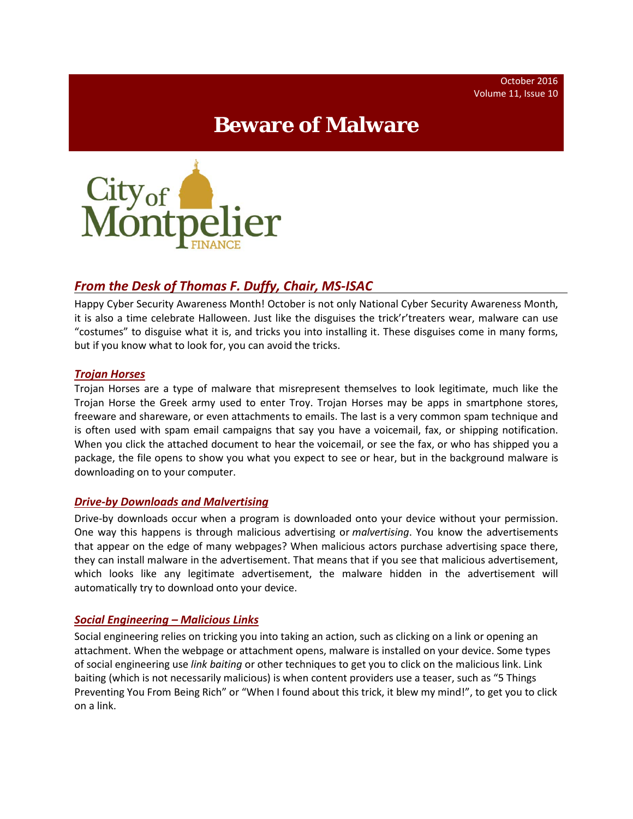# **Beware of Malware**



## *From the Desk of Thomas F. Duffy, Chair, MS-ISAC*

Happy Cyber Security Awareness Month! October is not only National Cyber Security Awareness Month, it is also a time celebrate Halloween. Just like the disguises the trick'r'treaters wear, malware can use "costumes" to disguise what it is, and tricks you into installing it. These disguises come in many forms, but if you know what to look for, you can avoid the tricks.

#### *Trojan Horses*

Trojan Horses are a type of malware that misrepresent themselves to look legitimate, much like the Trojan Horse the Greek army used to enter Troy. Trojan Horses may be apps in smartphone stores, freeware and shareware, or even attachments to emails. The last is a very common spam technique and is often used with spam email campaigns that say you have a voicemail, fax, or shipping notification. When you click the attached document to hear the voicemail, or see the fax, or who has shipped you a package, the file opens to show you what you expect to see or hear, but in the background malware is downloading on to your computer.

#### *Drive-by Downloads and Malvertising*

Drive-by downloads occur when a program is downloaded onto your device without your permission. One way this happens is through malicious advertising or *malvertising*. You know the advertisements that appear on the edge of many webpages? When malicious actors purchase advertising space there, they can install malware in the advertisement. That means that if you see that malicious advertisement, which looks like any legitimate advertisement, the malware hidden in the advertisement will automatically try to download onto your device.

### *Social Engineering – Malicious Links*

Social engineering relies on tricking you into taking an action, such as clicking on a link or opening an attachment. When the webpage or attachment opens, malware is installed on your device. Some types of social engineering use *link baiting* or other techniques to get you to click on the malicious link. Link baiting (which is not necessarily malicious) is when content providers use a teaser, such as "5 Things Preventing You From Being Rich" or "When I found about this trick, it blew my mind!", to get you to click on a link.